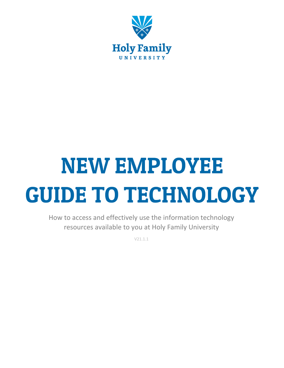

# **NEW EMPLOYEE GUIDE TO TECHNOLOGY**

How to access and effectively use the information technology resources available to you at Holy Family University

V21.1.1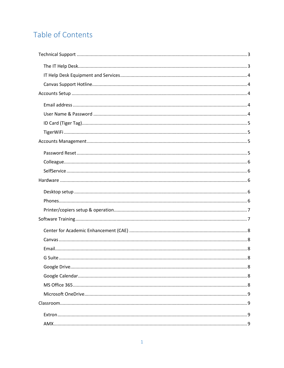# Table of Contents

| G Suite. |  |
|----------|--|
|          |  |
|          |  |
|          |  |
|          |  |
|          |  |
|          |  |
|          |  |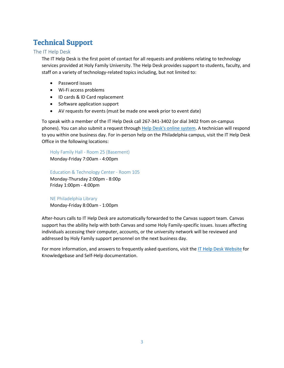## <span id="page-3-0"></span>**Technical Support**

## <span id="page-3-1"></span>The IT Help Desk

The IT Help Desk is the first point of contact for all requests and problems relating to technology services provided at Holy Family University. The Help Desk provides support to students, faculty, and staff on a variety of technology-related topics including, but not limited to:

- Password issues
- Wi-Fi access problems
- ID cards & ID Card replacement
- Software application support
- AV requests for events (must be made one week prior to event date)

To speak with a member of the IT Help Desk call 267-341-3402 (or dial 3402 from on-campus phones). You can also submit a request through [Help Desk's online system.](https://holyfamilyuniversity.sdpondemand.manageengine.com/home) A technician will respond to you within one business day. For in-person help on the Philadelphia campus, visit the IT Help Desk Office in the following locations:

Holy Family Hall - Room 25 (Basement) Monday-Friday 7:00am - 4:00pm

Education & Technology Center - Room 105 Monday-Thursday 2:00pm - 8:00p Friday 1:00pm - 4:00pm

NE Philadelphia Library Monday-Friday 8:00am - 1:00pm

After-hours calls to IT Help Desk are automatically forwarded to the Canvas support team. Canvas support has the ability help with both Canvas and some Holy Family-specific issues. Issues affecting individuals accessing their computer, accounts, or the university network will be reviewed and addressed by Holy Family support personnel on the next business day.

For more information, and answers to frequently asked questions, visit th[e IT Help Desk Website](https://www.holyfamily.edu/current-students/student-resources/help-desk) for Knowledgebase and Self-Help documentation.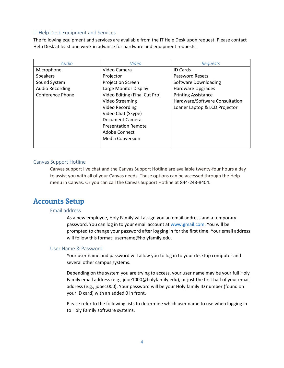## <span id="page-4-0"></span>IT Help Desk Equipment and Services

The following equipment and services are available from the IT Help Desk upon request. Please contact Help Desk at least one week in advance for hardware and equipment requests.

| Audio                   | Video                         | Requests                       |
|-------------------------|-------------------------------|--------------------------------|
| Microphone              | Video Camera                  | <b>ID Cards</b>                |
| Speakers                | Projector                     | Password Resets                |
| Sound System            | <b>Projection Screen</b>      | Software Downloading           |
| <b>Audio Recording</b>  | Large Monitor Display         | Hardware Upgrades              |
| <b>Conference Phone</b> | Video Editing (Final Cut Pro) | <b>Printing Assistance</b>     |
|                         | <b>Video Streaming</b>        | Hardware/Software Consultation |
|                         | Video Recording               | Loaner Laptop & LCD Projector  |
|                         | Video Chat (Skype)            |                                |
|                         | Document Camera               |                                |
|                         | <b>Presentation Remote</b>    |                                |
|                         | Adobe Connect                 |                                |
|                         | <b>Media Conversion</b>       |                                |
|                         |                               |                                |

## <span id="page-4-1"></span>Canvas Support Hotline

Canvas support live chat and the Canvas Support Hotline are available twenty-four hours a day to assist you with all of your Canvas needs. These options can be accessed through the Help menu in Canvas. Or you can call the Canvas Support Hotline at 844-243-8404.

## <span id="page-4-3"></span><span id="page-4-2"></span>**Accounts Setup**

## Email address

As a new employee, Holy Family will assign you an email address and a temporary password. You can log in to your email account at [www.gmail.com.](http://www.gmail.com/) You will be prompted to change your password after logging in for the first time. Your email address will follow this format: username@holyfamily.edu.

## <span id="page-4-4"></span>User Name & Password

Your user name and password will allow you to log in to your desktop computer and several other campus systems.

Depending on the system you are trying to access, your user name may be your full Holy Family email address (e.g., jdoe1000@holyfamily.edu), or just the first half of your email address (e.g., jdoe1000). Your password will be your Holy family ID number (found on your ID card) with an added 0 in front.

Please refer to the following lists to determine which user name to use when logging in to Holy Family software systems.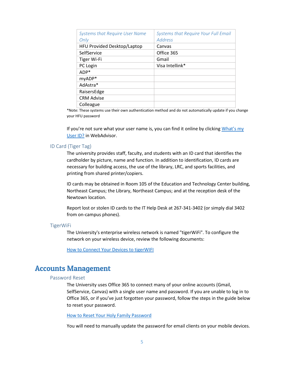| <b>Systems that Require User Name</b><br>Only | <b>Systems that Require Your Full Email</b><br>Address |
|-----------------------------------------------|--------------------------------------------------------|
| HFU Provided Desktop/Laptop                   | Canvas                                                 |
| SelfService                                   | Office 365                                             |
| Tiger Wi-Fi                                   | Gmail                                                  |
| PC Login                                      | Visa Intellink*                                        |
| ADP*                                          |                                                        |
| myADP*                                        |                                                        |
| AdAstra*                                      |                                                        |
| RaisersEdge                                   |                                                        |
| <b>CRM Advise</b>                             |                                                        |
| Colleague                                     |                                                        |

\*Note: These systems use their own authentication method and do not automatically update if you change your HFU password

If you're not sure what your user name is, you can find it online by clicking [What's](https://advisor2.holyfamily.edu/WebAdvisor/WebAdvisor?TYPE=M&PID=CORE-WBACCT&CONSTITUENCY=WBDF&TOKENIDX=5396673533) my [User ID?](https://advisor2.holyfamily.edu/WebAdvisor/WebAdvisor?TYPE=M&PID=CORE-WBACCT&CONSTITUENCY=WBDF&TOKENIDX=5396673533) in WebAdvisor.

## <span id="page-5-0"></span>ID Card (Tiger Tag)

The university provides staff, faculty, and students with an ID card that identifies the cardholder by picture, name and function. In addition to identification, ID cards are necessary for building access, the use of the library, LRC, and sports facilities, and printing from shared printer/copiers.

ID cards may be obtained in Room 105 of the Education and Technology Center building, Northeast Campus; the Library, Northeast Campus; and at the reception desk of the Newtown location.

Report lost or stolen ID cards to the IT Help Desk at 267-341-3402 (or simply dial 3402 from on-campus phones).

## <span id="page-5-1"></span>TigerWiFi

The University's enterprise wireless network is named "tigerWiFi". To configure the network on your wireless device, review the following documents:

[How to Connect Your Devices to tigerWIFI](http://kb.holyfamily.edu/hfu/how-to-connect-your-devices-to-tigerwifi/)

## <span id="page-5-3"></span><span id="page-5-2"></span>**Accounts Management**

## Password Reset

The University uses Office 365 to connect many of your online accounts (Gmail, SelfService, Canvas) with a single user name and password. If you are unable to log in to Office 365, or if you've just forgotten your password, follow the steps in the guide below to reset your password.

[How to Reset Your Holy Family Password](http://kb.holyfamily.edu/hfu/password-reset/)

You will need to manually update the password for email clients on your mobile devices.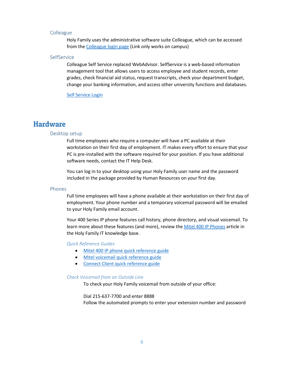## <span id="page-6-0"></span>Colleague

Holy Family uses the administrative software suite Colleague, which can be accessed from th[e Colleague login page](https://phlguic01.holyfamily.edu:8092/ui/home/index.html) (Link only works on campus)

### <span id="page-6-1"></span>**SelfService**

Colleague Self Service replaced WebAdvisor. SelfService is a web-based information management tool that allows users to access employee and student records, enter grades, check financial aid status, request transcripts, check your department budget, change your banking information, and access other university functions and databases.

[Self Service Login](https://selfservice.holyfamily.edu/Student/Account/Login)

## <span id="page-6-3"></span><span id="page-6-2"></span>**Hardware**

## Desktop setup

Full time employees who require a computer will have a PC available at their workstation on their first day of employment. IT makes every effort to ensure that your PC is pre-installed with the software required for your position. If you have additional software needs, contact the IT Help Desk.

You can log in to your desktop using your Holy Family user name and the password included in the package provided by Human Resources on your first day.

## <span id="page-6-4"></span>Phones

Full time employees will have a phone available at their workstation on their first day of employment. Your phone number and a temporary voicemail password will be emailed to your Holy Family email account.

Your 400 Series IP phone features call history, phone directory, and visual voicemail. To learn more about these features (and more), review th[e Mitel 400 IP Phones](http://kb.holyfamily.edu/hfu/mitel-400-ip-phones/) article in the Holy Family IT knowledge base.

## *Quick Reference Guides*

- [Mitel 400 IP phone quick reference guide](http://kb.holyfamily.edu/wp-content/uploads/2019/04/mitel-QRC_IP480_480g-1.pdf)
- [Mitel voicemail quick reference guide](http://kb.holyfamily.edu/wp-content/uploads/2019/04/mitel-qrc_vm-1.pdf)
- [Connect Client quick reference guide](http://kb.holyfamily.edu/wp-content/uploads/2019/04/mitel-Connect-Client-Quick-Ref.pdf)

#### *Check Voicemail from an Outside Line*

To check your Holy Family voicemail from outside of your office:

## Dial 215-637-7700 and enter 8888

Follow the automated prompts to enter your extension number and password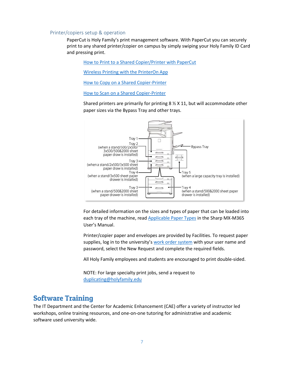## <span id="page-7-0"></span>Printer/copiers setup & operation

PaperCut is Holy Family's print management software. With PaperCut you can securely print to any shared printer/copier on campus by simply swiping your Holy Family ID Card and pressing print.

[How to Print to a Shared Copier/Printer with PaperCut](https://drive.google.com/open?id=0B82Q0_ht-yzYcV9NU0gwb1pWN3M)

[Wireless Printing with the PrinterOn App](http://kb.holyfamily.edu/hfu/wireless-printing-with-papercut/)

[How to Copy on a Shared Copier-Printer](https://drive.google.com/open?id=0B82Q0_ht-yzYWElzV3hrcjE3cWs)

[How to Scan on a Shared Copier-Printer](https://drive.google.com/open?id=0B82Q0_ht-yzYSnhiLVdZVkN2b2M)

Shared printers are primarily for printing 8 ½ X 11, but will accommodate other paper sizes via the Bypass Tray and other trays.



For detailed information on the sizes and types of paper that can be loaded into each tray of the machine, read [Applicable Paper Types](http://siica.sharpusa.com/portals/0/downloads/Manuals/MX-M365N-M465N-M565N/contents/01-026.htm) in the Sharp MX-M365 User's Manual.

Printer/copier paper and envelopes are provided by Facilities. To request paper supplies, log in to the university's [work order system](https://holyfamilyuniversity.sdpondemand.manageengine.com/app/maintenancedesk/HomePage.do) with your user name and password, select the New Request and complete the required fields.

All Holy Family employees and students are encouraged to print double-sided.

NOTE: For large specialty print jobs, send a request to [duplicating@holyfamily.edu](mailto:duplicating@holyfamily.edu)

## <span id="page-7-1"></span>**Software Training**

The IT Department and the Center for Academic Enhancement (CAE) offer a variety of instructor led workshops, online training resources, and one-on-one tutoring for administrative and academic software used university wide.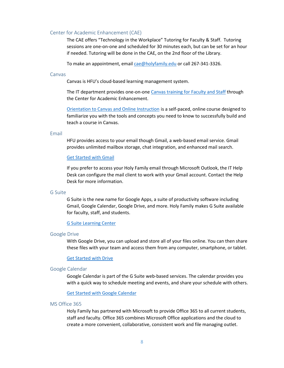## <span id="page-8-0"></span>Center for Academic Enhancement (CAE)

The CAE offers "Technology in the Workplace" Tutoring for Faculty & Staff. Tutoring sessions are one-on-one and scheduled for 30 minutes each, but can be set for an hour if needed. Tutoring will be done in the CAE, on the 2nd floor of the Library.

To make an appointment, email [cae@holyfamily.edu](mailto:cae@holyfamily.edu) or call 267-341-3326.

## <span id="page-8-1"></span>Canvas

Canvas is HFU's cloud-based learning management system.

The IT department provides one-on-on[e Canvas training for Faculty and Staff](https://www.holyfamily.edu/faculty-and-staff-training-sessions) through the Center for Academic Enhancement.

[Orientation to Canvas and Online Instruction](https://holyfamily.instructure.com/courses/50) is a self-paced, online course designed to familiarize you with the tools and concepts you need to know to successfully build and teach a course in Canvas.

## <span id="page-8-2"></span>Email

HFU provides access to your email though Gmail, a web-based email service. Gmail provides unlimited mailbox storage, chat integration, and enhanced mail search.

#### [Get Started with Gmail](https://gsuite.google.com/learning-center/products/gmail/get-started/)

If you prefer to access your Holy Family email through Microsoft Outlook, the IT Help Desk can configure the mail client to work with your Gmail account. Contact the Help Desk for more information.

## <span id="page-8-3"></span>G Suite

G Suite is the new name for Google Apps, a suite of productivity software including Gmail, Google Calendar, Google Drive, and more. Holy Family makes G Suite available for faculty, staff, and students.

#### [G Suite Learning Center](https://gsuite.google.com/learning-center/)

#### <span id="page-8-4"></span>Google Drive

With Google Drive, you can upload and store all of your files online. You can then share these files with your team and access them from any computer, smartphone, or tablet.

## [Get Started with Drive](https://gsuite.google.com/learning-center/products/drive/get-started/)

#### <span id="page-8-5"></span>Google Calendar

Google Calendar is part of the G Suite web-based services. The calendar provides you with a quick way to schedule meeting and events, and share your schedule with others.

#### [Get Started with Google Calendar](https://gsuite.google.com/learning-center/products/calendar/get-started/)

## <span id="page-8-6"></span>MS Office 365

Holy Family has partnered with Microsoft to provide Office 365 to all current students, staff and faculty. Office 365 combines Microsoft Office applications and the cloud to create a more convenient, collaborative, consistent work and file managing outlet.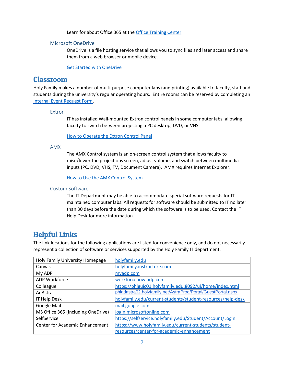Learn for about Office 365 at the [Office Training Center](https://support.office.com/en-us/article/Office-Training-Center-b8f02f81-ec85-4493-a39b-4c48e6bc4bfb)

## <span id="page-9-0"></span>Microsoft OneDrive

OneDrive is a file hosting service that allows you to sync files and later access and share them from a web browser or mobile device.

[Get Started with OneDrive](https://support.office.com/en-us/article/OneDrive-basics-fe8aab1e-3d1a-4a65-a9b6-77b79b6dbb30?ui=en-US&rs=en-US&ad=US)

## <span id="page-9-1"></span>**Classroom**

Holy Family makes a number of multi-purpose computer labs (and printing) available to faculty, staff and students during the university's regular operating hours. Entire rooms can be reserved by completing an [Internal Event Request Form.](https://www.holyfamily.edu/about-holy-family-u/our-campuses-in-philadelphia/facility-rental-internal)

## <span id="page-9-2"></span>Extron

IT has installed Wall-mounted Extron control panels in some computer labs, allowing faculty to switch between projecting a PC desktop, DVD, or VHS.

[How to Operate the Extron Control Panel](https://drive.google.com/open?id=0B82Q0_ht-yzYeUFuQzdhczh2dUE)

<span id="page-9-3"></span>AMX

The AMX Control system is an on-screen control system that allows faculty to raise/lower the projections screen, adjust volume, and switch between multimedia inputs (PC, DVD, VHS, TV, Document Camera). AMX requires Internet Explorer.

[How to Use the AMX Control System](https://drive.google.com/open?id=0B82Q0_ht-yzYZXpYTU5mRHhocnM)

## <span id="page-9-4"></span>Custom Software

The IT Department may be able to accommodate special software requests for IT maintained computer labs. All requests for software should be submitted to IT no later than 30 days before the date during which the software is to be used. Contact the IT Help Desk for more information.

## <span id="page-9-5"></span>**Helpful Links**

The link locations for the following applications are listed for convenience only, and do not necessarily represent a collection of software or services supported by the Holy Family IT department.

| Holy Family University Homepage    | holyfamily.edu                                                |
|------------------------------------|---------------------------------------------------------------|
| Canvas                             | holyfamily.instructure.com                                    |
| My ADP                             | myadp.com                                                     |
| ADP Workforce                      | workforcenow.adp.com                                          |
| Colleague                          | https://phlguic01.holyfamily.edu:8092/ui/home/index.html      |
| AdAstra                            | phladastra02.holyfamily.net/AstraProd/Portal/GuestPortal.aspx |
| IT Help Desk                       | holyfamily.edu/current-students/student-resources/help-desk   |
| Google Mail                        | mail.google.com                                               |
| MS Office 365 (Including OneDrive) | login.microsoftonline.com                                     |
| SelfService                        | https://selfservice.holyfamily.edu/Student/Account/Login      |
| Center for Academic Enhancement    | https://www.holyfamily.edu/current-students/student-          |
|                                    | resources/center-for-academic-enhancement                     |